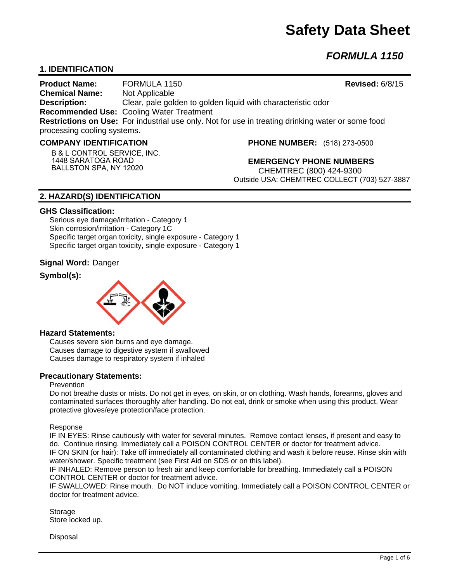# **Safety Data Sheet**

*FORMULA 1150* 

# **1. IDENTIFICATION**

**Product Name:** FORMULA 1150 **Revised:** 6/8/15 **Chemical Name:** Not Applicable **Description:** Clear, pale golden to golden liquid with characteristic odor **Recommended Use:** Cooling Water Treatment **Restrictions on Use:** For industrial use only. Not for use in treating drinking water or some food processing cooling systems.

#### **COMPANY IDENTIFICATION**

**B & L CONTROL SERVICE, INC. 1448 SARATOGA ROAD BALLSTON SPA, NY 12020**

**PHONE NUMBER:** (518) 273-0500

**EMERGENCY PHONE NUMBERS** CHEMTREC (800) 424-9300 Outside USA: CHEMTREC COLLECT (703) 527-3887

# **2. HAZARD(S) IDENTIFICATION**

#### **GHS Classification:**

Serious eye damage/irritation - Category 1 Skin corrosion/irritation - Category 1C Specific target organ toxicity, single exposure - Category 1 Specific target organ toxicity, single exposure - Category 1

#### **Signal Word:** Danger

# **Symbol(s):**



#### **Hazard Statements:**

Causes severe skin burns and eye damage. Causes damage to digestive system if swallowed Causes damage to respiratory system if inhaled

#### **Precautionary Statements:**

#### Prevention

Do not breathe dusts or mists. Do not get in eyes, on skin, or on clothing. Wash hands, forearms, gloves and contaminated surfaces thoroughly after handling. Do not eat, drink or smoke when using this product. Wear protective gloves/eye protection/face protection.

Response

IF IN EYES: Rinse cautiously with water for several minutes. Remove contact lenses, if present and easy to do. Continue rinsing. Immediately call a POISON CONTROL CENTER or doctor for treatment advice. IF ON SKIN (or hair): Take off immediately all contaminated clothing and wash it before reuse. Rinse skin with water/shower. Specific treatment (see First Aid on SDS or on this label).

IF INHALED: Remove person to fresh air and keep comfortable for breathing. Immediately call a POISON CONTROL CENTER or doctor for treatment advice.

IF SWALLOWED: Rinse mouth. Do NOT induce vomiting. Immediately call a POISON CONTROL CENTER or doctor for treatment advice.

Storage Store locked up.

Disposal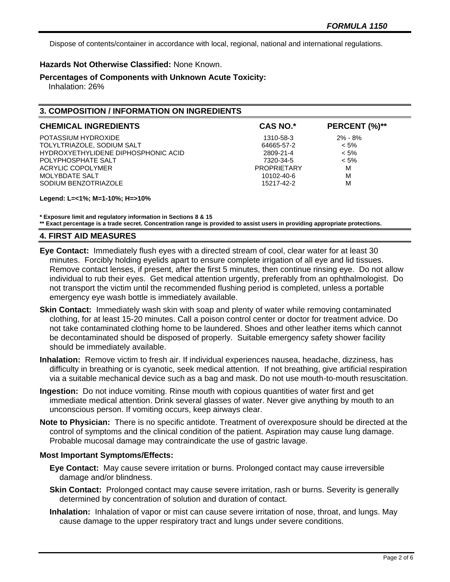Dispose of contents/container in accordance with local, regional, national and international regulations.

#### **Hazards Not Otherwise Classified:** None Known.

**Percentages of Components with Unknown Acute Toxicity:** 

Inhalation: 26%

# **3. COMPOSITION / INFORMATION ON INGREDIENTS**

| <b>CHEMICAL INGREDIENTS</b>         | <b>CAS NO.*</b>    | PERCENT (%)** |
|-------------------------------------|--------------------|---------------|
| POTASSIUM HYDROXIDE                 | 1310-58-3          | $2\% - 8\%$   |
| TOLYLTRIAZOLE, SODIUM SALT          | 64665-57-2         | $< 5\%$       |
| HYDROXYETHYLIDENE DIPHOSPHONIC ACID | 2809-21-4          | $< 5\%$       |
| POLYPHOSPHATE SALT                  | 7320-34-5          | $< 5\%$       |
| ACRYLIC COPOLYMER                   | <b>PROPRIETARY</b> | M             |
| MOLYBDATE SALT                      | 10102-40-6         | M             |
| SODIUM BENZOTRIAZOLE                | 15217-42-2         | M             |

**Legend: L=<1%; M=1-10%; H=>10%**

**\* Exposure limit and regulatory information in Sections 8 & 15**

**\*\* Exact percentage is a trade secret. Concentration range is provided to assist users in providing appropriate protections.**

#### **4. FIRST AID MEASURES**

- **Eye Contact:** Immediately flush eyes with a directed stream of cool, clear water for at least 30 minutes. Forcibly holding eyelids apart to ensure complete irrigation of all eye and lid tissues. Remove contact lenses, if present, after the first 5 minutes, then continue rinsing eye. Do not allow individual to rub their eyes. Get medical attention urgently, preferably from an ophthalmologist. Do not transport the victim until the recommended flushing period is completed, unless a portable emergency eye wash bottle is immediately available.
- **Skin Contact:** Immediately wash skin with soap and plenty of water while removing contaminated clothing, for at least 15-20 minutes. Call a poison control center or doctor for treatment advice. Do not take contaminated clothing home to be laundered. Shoes and other leather items which cannot be decontaminated should be disposed of properly. Suitable emergency safety shower facility should be immediately available.
- **Inhalation:** Remove victim to fresh air. If individual experiences nausea, headache, dizziness, has difficulty in breathing or is cyanotic, seek medical attention. If not breathing, give artificial respiration via a suitable mechanical device such as a bag and mask. Do not use mouth-to-mouth resuscitation.
- **Ingestion:** Do not induce vomiting. Rinse mouth with copious quantities of water first and get immediate medical attention. Drink several glasses of water. Never give anything by mouth to an unconscious person. If vomiting occurs, keep airways clear.
- **Note to Physician:** There is no specific antidote. Treatment of overexposure should be directed at the control of symptoms and the clinical condition of the patient. Aspiration may cause lung damage. Probable mucosal damage may contraindicate the use of gastric lavage.

#### **Most Important Symptoms/Effects:**

- **Eye Contact:** May cause severe irritation or burns. Prolonged contact may cause irreversible damage and/or blindness.
- **Skin Contact:** Prolonged contact may cause severe irritation, rash or burns. Severity is generally determined by concentration of solution and duration of contact.
- **Inhalation:** Inhalation of vapor or mist can cause severe irritation of nose, throat, and lungs. May cause damage to the upper respiratory tract and lungs under severe conditions.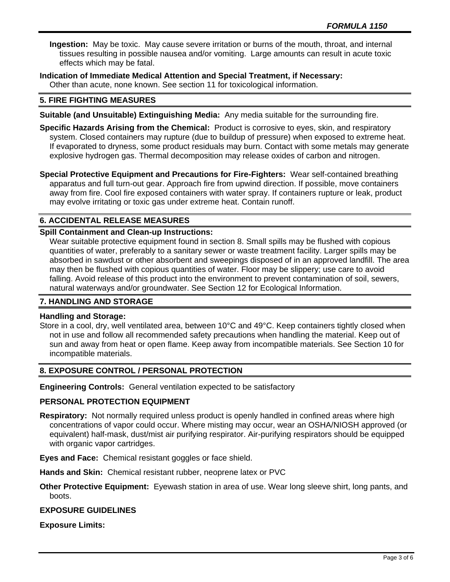**Ingestion:** May be toxic. May cause severe irritation or burns of the mouth, throat, and internal tissues resulting in possible nausea and/or vomiting. Large amounts can result in acute toxic effects which may be fatal.

**Indication of Immediate Medical Attention and Special Treatment, if Necessary:** Other than acute, none known. See section 11 for toxicological information.

## **5. FIRE FIGHTING MEASURES**

- **Suitable (and Unsuitable) Extinguishing Media:** Any media suitable for the surrounding fire.
- **Specific Hazards Arising from the Chemical:** Product is corrosive to eyes, skin, and respiratory system. Closed containers may rupture (due to buildup of pressure) when exposed to extreme heat. If evaporated to dryness, some product residuals may burn. Contact with some metals may generate explosive hydrogen gas. Thermal decomposition may release oxides of carbon and nitrogen.
- **Special Protective Equipment and Precautions for Fire-Fighters:** Wear self-contained breathing apparatus and full turn-out gear. Approach fire from upwind direction. If possible, move containers away from fire. Cool fire exposed containers with water spray. If containers rupture or leak, product may evolve irritating or toxic gas under extreme heat. Contain runoff.

# **6. ACCIDENTAL RELEASE MEASURES**

# **Spill Containment and Clean-up Instructions:**

Wear suitable protective equipment found in section 8. Small spills may be flushed with copious quantities of water, preferably to a sanitary sewer or waste treatment facility. Larger spills may be absorbed in sawdust or other absorbent and sweepings disposed of in an approved landfill. The area may then be flushed with copious quantities of water. Floor may be slippery; use care to avoid falling. Avoid release of this product into the environment to prevent contamination of soil, sewers, natural waterways and/or groundwater. See Section 12 for Ecological Information.

# **7. HANDLING AND STORAGE**

#### **Handling and Storage:**

Store in a cool, dry, well ventilated area, between 10°C and 49°C. Keep containers tightly closed when not in use and follow all recommended safety precautions when handling the material. Keep out of sun and away from heat or open flame. Keep away from incompatible materials. See Section 10 for incompatible materials.

#### **8. EXPOSURE CONTROL / PERSONAL PROTECTION**

**Engineering Controls:** General ventilation expected to be satisfactory

#### **PERSONAL PROTECTION EQUIPMENT**

**Respiratory:** Not normally required unless product is openly handled in confined areas where high concentrations of vapor could occur. Where misting may occur, wear an OSHA/NIOSH approved (or equivalent) half-mask, dust/mist air purifying respirator. Air-purifying respirators should be equipped with organic vapor cartridges.

**Eyes and Face:** Chemical resistant goggles or face shield.

**Hands and Skin:** Chemical resistant rubber, neoprene latex or PVC

**Other Protective Equipment:** Eyewash station in area of use. Wear long sleeve shirt, long pants, and boots.

#### **EXPOSURE GUIDELINES**

**Exposure Limits:**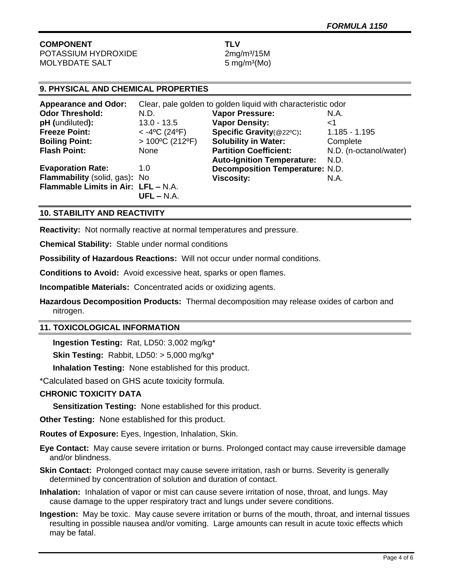# **COMPONENT TLV**

POTASSIUM HYDROXIDE 2mg/m<sup>3</sup>/15M MOLYBDATE SALT 5 mg/m<sup>3</sup>(Mo)

# **9. PHYSICAL AND CHEMICAL PROPERTIES**

| <b>Appearance and Odor:</b>         | Clear, pale golden to golden liquid with characteristic odor |                                        |                        |
|-------------------------------------|--------------------------------------------------------------|----------------------------------------|------------------------|
| <b>Odor Threshold:</b>              | N.D.                                                         | <b>Vapor Pressure:</b>                 | N.A.                   |
| pH (undiluted):                     | $13.0 - 13.5$                                                | <b>Vapor Density:</b>                  | ا>                     |
| <b>Freeze Point:</b>                | $<$ -4°C (24°F)                                              | Specific Gravity(@22°C):               | $1.185 - 1.195$        |
| <b>Boiling Point:</b>               | $>100^{\circ}$ C (212°F)                                     | <b>Solubility in Water:</b>            | Complete               |
| <b>Flash Point:</b>                 | None                                                         | <b>Partition Coefficient:</b>          | N.D. (n-octanol/water) |
|                                     |                                                              | <b>Auto-Ignition Temperature:</b>      | N.D.                   |
| <b>Evaporation Rate:</b>            | 1.0                                                          | <b>Decomposition Temperature: N.D.</b> |                        |
| Flammability (solid, gas): No       |                                                              | <b>Viscosity:</b>                      | N.A.                   |
| Flammable Limits in Air: LFL - N.A. |                                                              |                                        |                        |
|                                     | $UFL - N.A.$                                                 |                                        |                        |

## **10. STABILITY AND REACTIVITY**

**Reactivity:** Not normally reactive at normal temperatures and pressure.

**Chemical Stability:** Stable under normal conditions

**Possibility of Hazardous Reactions:** Will not occur under normal conditions.

**Conditions to Avoid:** Avoid excessive heat, sparks or open flames.

**Incompatible Materials:** Concentrated acids or oxidizing agents.

**Hazardous Decomposition Products:** Thermal decomposition may release oxides of carbon and nitrogen.

# **11. TOXICOLOGICAL INFORMATION**

**Ingestion Testing:** Rat, LD50: 3,002 mg/kg\*

**Skin Testing:** Rabbit, LD50: > 5,000 mg/kg\*

**Inhalation Testing:** None established for this product.

\*Calculated based on GHS acute toxicity formula.

### **CHRONIC TOXICITY DATA**

**Sensitization Testing:** None established for this product.

**Other Testing:** None established for this product.

**Routes of Exposure:** Eyes, Ingestion, Inhalation, Skin.

**Eye Contact:** May cause severe irritation or burns. Prolonged contact may cause irreversible damage and/or blindness.

**Skin Contact:** Prolonged contact may cause severe irritation, rash or burns. Severity is generally determined by concentration of solution and duration of contact.

**Inhalation:** Inhalation of vapor or mist can cause severe irritation of nose, throat, and lungs. May cause damage to the upper respiratory tract and lungs under severe conditions.

**Ingestion:** May be toxic. May cause severe irritation or burns of the mouth, throat, and internal tissues resulting in possible nausea and/or vomiting. Large amounts can result in acute toxic effects which may be fatal.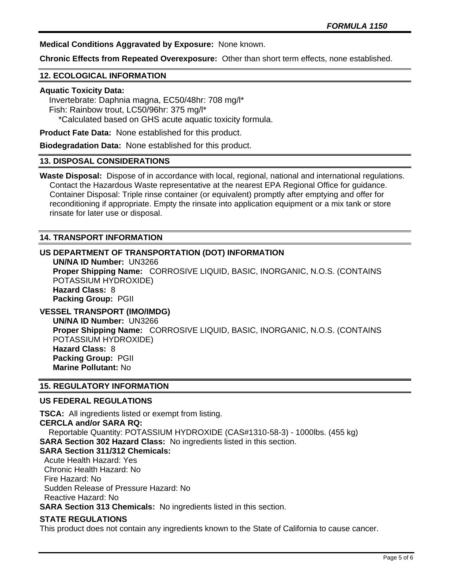**Medical Conditions Aggravated by Exposure:** None known.

**Chronic Effects from Repeated Overexposure:** Other than short term effects, none established.

#### **12. ECOLOGICAL INFORMATION**

#### **Aquatic Toxicity Data:**

 Invertebrate: Daphnia magna, EC50/48hr: 708 mg/l\* Fish: Rainbow trout, LC50/96hr: 375 mg/l\* \*Calculated based on GHS acute aquatic toxicity formula.

**Product Fate Data:** None established for this product.

**Biodegradation Data:** None established for this product.

#### **13. DISPOSAL CONSIDERATIONS**

**Waste Disposal:** Dispose of in accordance with local, regional, national and international regulations. Contact the Hazardous Waste representative at the nearest EPA Regional Office for guidance. Container Disposal: Triple rinse container (or equivalent) promptly after emptying and offer for reconditioning if appropriate. Empty the rinsate into application equipment or a mix tank or store rinsate for later use or disposal.

#### **14. TRANSPORT INFORMATION**

#### **US DEPARTMENT OF TRANSPORTATION (DOT) INFORMATION**

**UN/NA ID Number:** UN3266 **Proper Shipping Name:** CORROSIVE LIQUID, BASIC, INORGANIC, N.O.S. (CONTAINS POTASSIUM HYDROXIDE) **Hazard Class:** 8 **Packing Group:** PGII

# **VESSEL TRANSPORT (IMO/IMDG)**

**UN/NA ID Number:** UN3266 **Proper Shipping Name:** CORROSIVE LIQUID, BASIC, INORGANIC, N.O.S. (CONTAINS POTASSIUM HYDROXIDE) **Hazard Class:** 8 **Packing Group:** PGII **Marine Pollutant:** No

#### **15. REGULATORY INFORMATION**

#### **US FEDERAL REGULATIONS**

**TSCA:** All ingredients listed or exempt from listing. **CERCLA and/or SARA RQ:**  Reportable Quantity: POTASSIUM HYDROXIDE (CAS#1310-58-3) - 1000lbs. (455 kg) **SARA Section 302 Hazard Class:** No ingredients listed in this section. **SARA Section 311/312 Chemicals:** 

 Acute Health Hazard: Yes Chronic Health Hazard: No Fire Hazard: No Sudden Release of Pressure Hazard: No Reactive Hazard: No

**SARA Section 313 Chemicals:** No ingredients listed in this section.

#### **STATE REGULATIONS**

This product does not contain any ingredients known to the State of California to cause cancer.